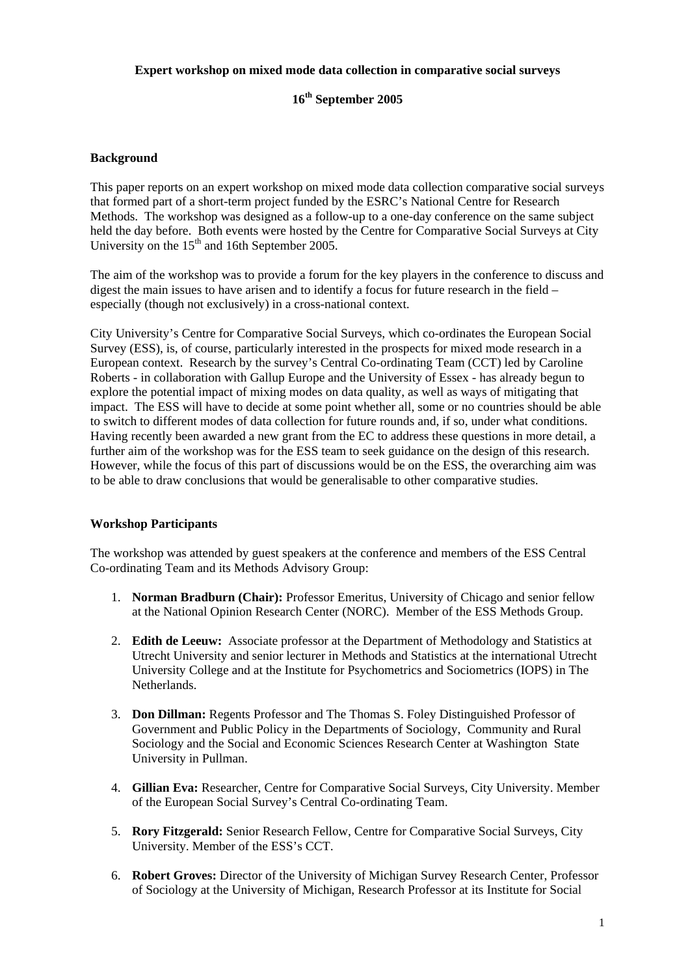#### **Expert workshop on mixed mode data collection in comparative social surveys**

# **16th September 2005**

### **Background**

This paper reports on an expert workshop on mixed mode data collection comparative social surveys that formed part of a short-term project funded by the ESRC's National Centre for Research Methods. The workshop was designed as a follow-up to a one-day conference on the same subject held the day before. Both events were hosted by the Centre for Comparative Social Surveys at City University on the  $15<sup>th</sup>$  and 16th September 2005.

The aim of the workshop was to provide a forum for the key players in the conference to discuss and digest the main issues to have arisen and to identify a focus for future research in the field – especially (though not exclusively) in a cross-national context.

City University's Centre for Comparative Social Surveys, which co-ordinates the European Social Survey (ESS), is, of course, particularly interested in the prospects for mixed mode research in a European context. Research by the survey's Central Co-ordinating Team (CCT) led by Caroline Roberts - in collaboration with Gallup Europe and the University of Essex - has already begun to explore the potential impact of mixing modes on data quality, as well as ways of mitigating that impact. The ESS will have to decide at some point whether all, some or no countries should be able to switch to different modes of data collection for future rounds and, if so, under what conditions. Having recently been awarded a new grant from the EC to address these questions in more detail, a further aim of the workshop was for the ESS team to seek guidance on the design of this research. However, while the focus of this part of discussions would be on the ESS, the overarching aim was to be able to draw conclusions that would be generalisable to other comparative studies.

#### **Workshop Participants**

The workshop was attended by guest speakers at the conference and members of the ESS Central Co-ordinating Team and its Methods Advisory Group:

- 1. **Norman Bradburn (Chair):** Professor Emeritus, University of Chicago and senior fellow at the National Opinion Research Center (NORC). Member of the ESS Methods Group.
- 2. **Edith de Leeuw:** Associate professor at the Department of Methodology and Statistics at Utrecht University and senior lecturer in Methods and Statistics at the international Utrecht University College and at the Institute for Psychometrics and Sociometrics (IOPS) in The Netherlands.
- 3. **Don Dillman:** Regents Professor and The Thomas S. Foley Distinguished Professor of Government and Public Policy in the Departments of Sociology, Community and Rural Sociology and the Social and Economic Sciences Research Center at Washington State University in Pullman.
- 4. **Gillian Eva:** Researcher, Centre for Comparative Social Surveys, City University. Member of the European Social Survey's Central Co-ordinating Team.
- 5. **Rory Fitzgerald:** Senior Research Fellow, Centre for Comparative Social Surveys, City University. Member of the ESS's CCT.
- 6. **Robert Groves:** Director of the University of Michigan Survey Research Center, Professor of Sociology at the University of Michigan, Research Professor at its Institute for Social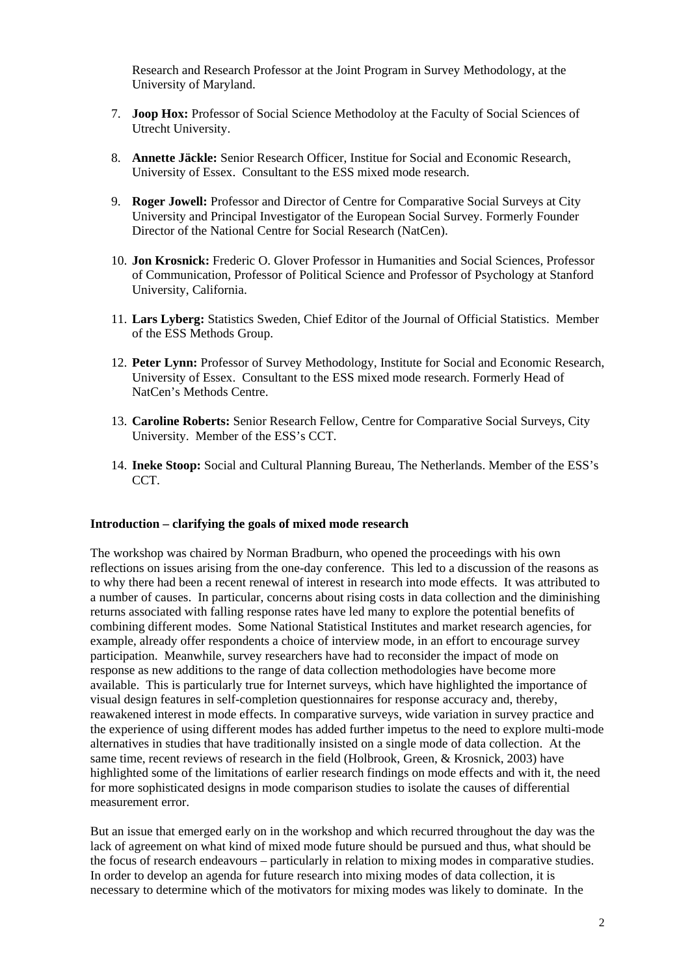Research and Research Professor at the Joint Program in Survey Methodology, at the University of Maryland.

- 7. **Joop Hox:** Professor of Social Science Methodoloy at the Faculty of Social Sciences of Utrecht University.
- 8. **Annette Jäckle:** Senior Research Officer, Institue for Social and Economic Research, University of Essex. Consultant to the ESS mixed mode research.
- 9. **Roger Jowell:** Professor and Director of Centre for Comparative Social Surveys at City University and Principal Investigator of the European Social Survey. Formerly Founder Director of the National Centre for Social Research (NatCen).
- 10. **Jon Krosnick:** Frederic O. Glover Professor in Humanities and Social Sciences, Professor of Communication, Professor of Political Science and Professor of Psychology at Stanford University, California.
- 11. **Lars Lyberg:** Statistics Sweden, Chief Editor of the Journal of Official Statistics. Member of the ESS Methods Group.
- 12. **Peter Lynn:** Professor of Survey Methodology, Institute for Social and Economic Research, University of Essex. Consultant to the ESS mixed mode research. Formerly Head of NatCen's Methods Centre.
- 13. **Caroline Roberts:** Senior Research Fellow, Centre for Comparative Social Surveys, City University. Member of the ESS's CCT.
- 14. **Ineke Stoop:** Social and Cultural Planning Bureau, The Netherlands. Member of the ESS's CCT.

#### **Introduction – clarifying the goals of mixed mode research**

The workshop was chaired by Norman Bradburn, who opened the proceedings with his own reflections on issues arising from the one-day conference. This led to a discussion of the reasons as to why there had been a recent renewal of interest in research into mode effects. It was attributed to a number of causes. In particular, concerns about rising costs in data collection and the diminishing returns associated with falling response rates have led many to explore the potential benefits of combining different modes. Some National Statistical Institutes and market research agencies, for example, already offer respondents a choice of interview mode, in an effort to encourage survey participation. Meanwhile, survey researchers have had to reconsider the impact of mode on response as new additions to the range of data collection methodologies have become more available. This is particularly true for Internet surveys, which have highlighted the importance of visual design features in self-completion questionnaires for response accuracy and, thereby, reawakened interest in mode effects. In comparative surveys, wide variation in survey practice and the experience of using different modes has added further impetus to the need to explore multi-mode alternatives in studies that have traditionally insisted on a single mode of data collection. At the same time, recent reviews of research in the field (Holbrook, Green, & Krosnick, 2003) have highlighted some of the limitations of earlier research findings on mode effects and with it, the need for more sophisticated designs in mode comparison studies to isolate the causes of differential measurement error.

But an issue that emerged early on in the workshop and which recurred throughout the day was the lack of agreement on what kind of mixed mode future should be pursued and thus, what should be the focus of research endeavours – particularly in relation to mixing modes in comparative studies. In order to develop an agenda for future research into mixing modes of data collection, it is necessary to determine which of the motivators for mixing modes was likely to dominate. In the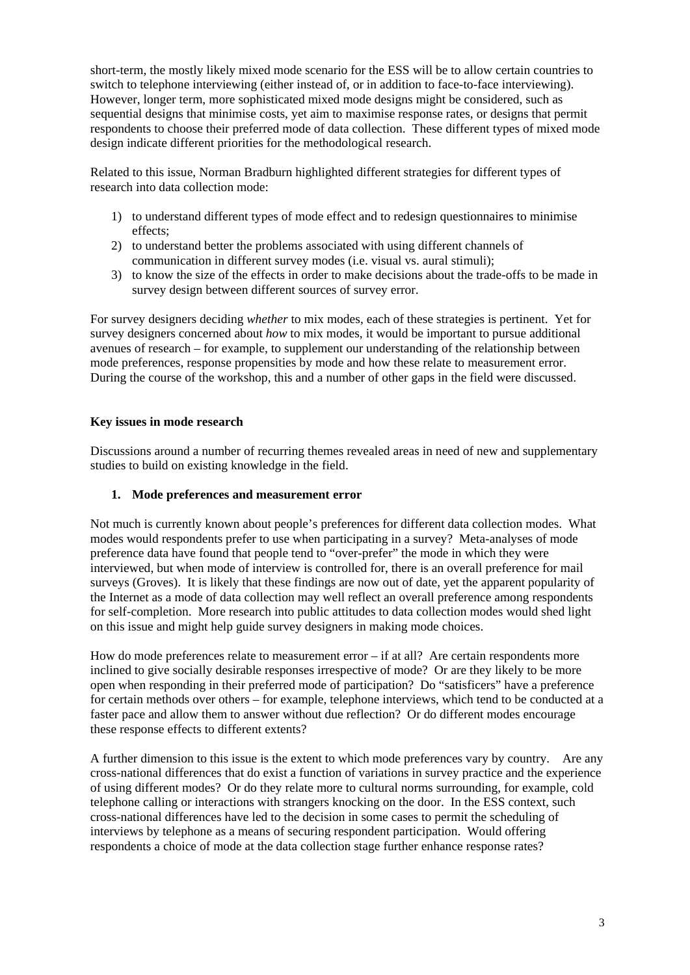short-term, the mostly likely mixed mode scenario for the ESS will be to allow certain countries to switch to telephone interviewing (either instead of, or in addition to face-to-face interviewing). However, longer term, more sophisticated mixed mode designs might be considered, such as sequential designs that minimise costs, yet aim to maximise response rates, or designs that permit respondents to choose their preferred mode of data collection. These different types of mixed mode design indicate different priorities for the methodological research.

Related to this issue, Norman Bradburn highlighted different strategies for different types of research into data collection mode:

- 1) to understand different types of mode effect and to redesign questionnaires to minimise effects;
- 2) to understand better the problems associated with using different channels of communication in different survey modes (i.e. visual vs. aural stimuli);
- 3) to know the size of the effects in order to make decisions about the trade-offs to be made in survey design between different sources of survey error.

For survey designers deciding *whether* to mix modes, each of these strategies is pertinent. Yet for survey designers concerned about *how* to mix modes, it would be important to pursue additional avenues of research – for example, to supplement our understanding of the relationship between mode preferences, response propensities by mode and how these relate to measurement error. During the course of the workshop, this and a number of other gaps in the field were discussed.

### **Key issues in mode research**

Discussions around a number of recurring themes revealed areas in need of new and supplementary studies to build on existing knowledge in the field.

### **1. Mode preferences and measurement error**

Not much is currently known about people's preferences for different data collection modes. What modes would respondents prefer to use when participating in a survey? Meta-analyses of mode preference data have found that people tend to "over-prefer" the mode in which they were interviewed, but when mode of interview is controlled for, there is an overall preference for mail surveys (Groves). It is likely that these findings are now out of date, yet the apparent popularity of the Internet as a mode of data collection may well reflect an overall preference among respondents for self-completion. More research into public attitudes to data collection modes would shed light on this issue and might help guide survey designers in making mode choices.

How do mode preferences relate to measurement error – if at all? Are certain respondents more inclined to give socially desirable responses irrespective of mode? Or are they likely to be more open when responding in their preferred mode of participation? Do "satisficers" have a preference for certain methods over others – for example, telephone interviews, which tend to be conducted at a faster pace and allow them to answer without due reflection? Or do different modes encourage these response effects to different extents?

A further dimension to this issue is the extent to which mode preferences vary by country. Are any cross-national differences that do exist a function of variations in survey practice and the experience of using different modes? Or do they relate more to cultural norms surrounding, for example, cold telephone calling or interactions with strangers knocking on the door. In the ESS context, such cross-national differences have led to the decision in some cases to permit the scheduling of interviews by telephone as a means of securing respondent participation. Would offering respondents a choice of mode at the data collection stage further enhance response rates?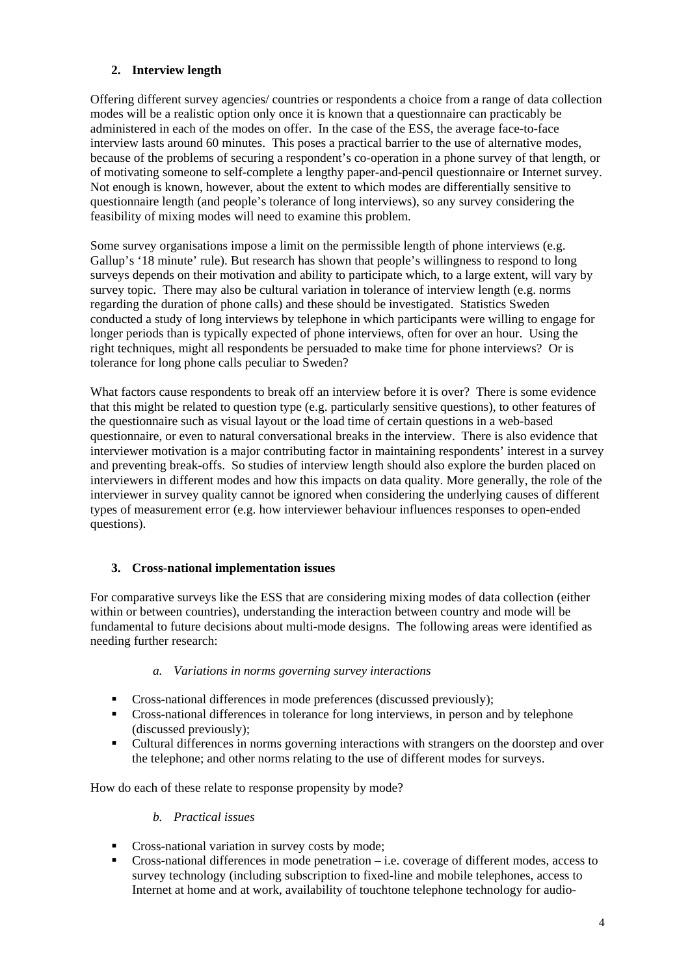# **2. Interview length**

Offering different survey agencies/ countries or respondents a choice from a range of data collection modes will be a realistic option only once it is known that a questionnaire can practicably be administered in each of the modes on offer. In the case of the ESS, the average face-to-face interview lasts around 60 minutes. This poses a practical barrier to the use of alternative modes, because of the problems of securing a respondent's co-operation in a phone survey of that length, or of motivating someone to self-complete a lengthy paper-and-pencil questionnaire or Internet survey. Not enough is known, however, about the extent to which modes are differentially sensitive to questionnaire length (and people's tolerance of long interviews), so any survey considering the feasibility of mixing modes will need to examine this problem.

Some survey organisations impose a limit on the permissible length of phone interviews (e.g. Gallup's '18 minute' rule). But research has shown that people's willingness to respond to long surveys depends on their motivation and ability to participate which, to a large extent, will vary by survey topic. There may also be cultural variation in tolerance of interview length (e.g. norms regarding the duration of phone calls) and these should be investigated. Statistics Sweden conducted a study of long interviews by telephone in which participants were willing to engage for longer periods than is typically expected of phone interviews, often for over an hour. Using the right techniques, might all respondents be persuaded to make time for phone interviews? Or is tolerance for long phone calls peculiar to Sweden?

What factors cause respondents to break off an interview before it is over? There is some evidence that this might be related to question type (e.g. particularly sensitive questions), to other features of the questionnaire such as visual layout or the load time of certain questions in a web-based questionnaire, or even to natural conversational breaks in the interview. There is also evidence that interviewer motivation is a major contributing factor in maintaining respondents' interest in a survey and preventing break-offs. So studies of interview length should also explore the burden placed on interviewers in different modes and how this impacts on data quality. More generally, the role of the interviewer in survey quality cannot be ignored when considering the underlying causes of different types of measurement error (e.g. how interviewer behaviour influences responses to open-ended questions).

# **3. Cross-national implementation issues**

For comparative surveys like the ESS that are considering mixing modes of data collection (either within or between countries), understanding the interaction between country and mode will be fundamental to future decisions about multi-mode designs. The following areas were identified as needing further research:

#### *a. Variations in norms governing survey interactions*

- **Cross-national differences in mode preferences (discussed previously);**
- Cross-national differences in tolerance for long interviews, in person and by telephone (discussed previously);
- Cultural differences in norms governing interactions with strangers on the doorstep and over the telephone; and other norms relating to the use of different modes for surveys.

How do each of these relate to response propensity by mode?

# *b. Practical issues*

- **Cross-national variation in survey costs by mode;**
- Cross-national differences in mode penetration i.e. coverage of different modes, access to survey technology (including subscription to fixed-line and mobile telephones, access to Internet at home and at work, availability of touchtone telephone technology for audio-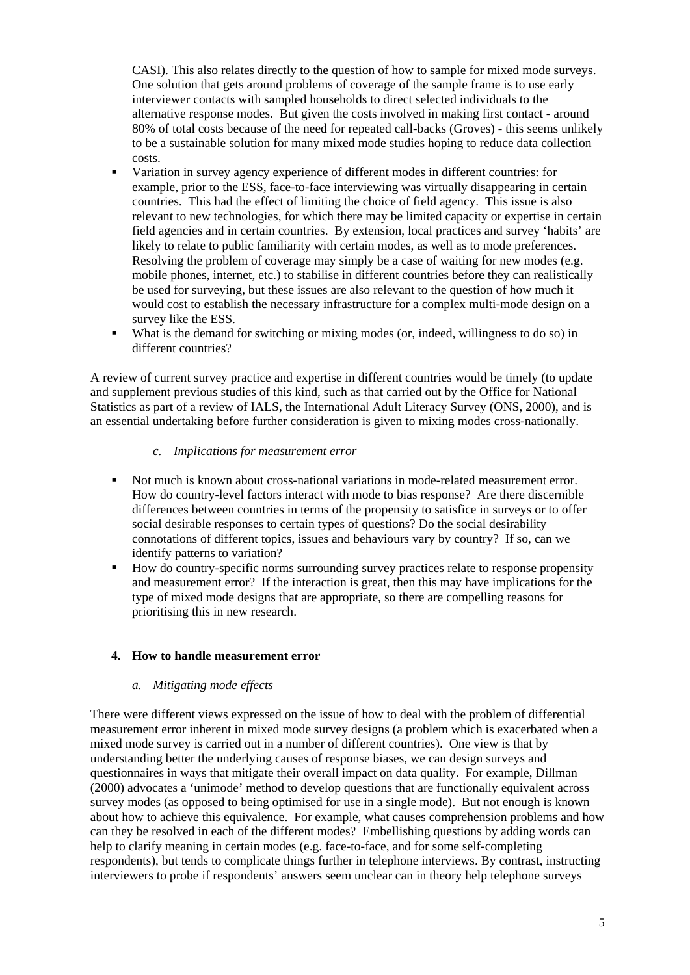CASI). This also relates directly to the question of how to sample for mixed mode surveys. One solution that gets around problems of coverage of the sample frame is to use early interviewer contacts with sampled households to direct selected individuals to the alternative response modes. But given the costs involved in making first contact - around 80% of total costs because of the need for repeated call-backs (Groves) - this seems unlikely to be a sustainable solution for many mixed mode studies hoping to reduce data collection costs.

- Variation in survey agency experience of different modes in different countries: for example, prior to the ESS, face-to-face interviewing was virtually disappearing in certain countries. This had the effect of limiting the choice of field agency. This issue is also relevant to new technologies, for which there may be limited capacity or expertise in certain field agencies and in certain countries. By extension, local practices and survey 'habits' are likely to relate to public familiarity with certain modes, as well as to mode preferences. Resolving the problem of coverage may simply be a case of waiting for new modes (e.g. mobile phones, internet, etc.) to stabilise in different countries before they can realistically be used for surveying, but these issues are also relevant to the question of how much it would cost to establish the necessary infrastructure for a complex multi-mode design on a survey like the ESS.
- What is the demand for switching or mixing modes (or, indeed, willingness to do so) in different countries?

A review of current survey practice and expertise in different countries would be timely (to update and supplement previous studies of this kind, such as that carried out by the Office for National Statistics as part of a review of IALS, the International Adult Literacy Survey (ONS, 2000), and is an essential undertaking before further consideration is given to mixing modes cross-nationally.

#### *c. Implications for measurement error*

- Not much is known about cross-national variations in mode-related measurement error. How do country-level factors interact with mode to bias response? Are there discernible differences between countries in terms of the propensity to satisfice in surveys or to offer social desirable responses to certain types of questions? Do the social desirability connotations of different topics, issues and behaviours vary by country? If so, can we identify patterns to variation?
- How do country-specific norms surrounding survey practices relate to response propensity and measurement error? If the interaction is great, then this may have implications for the type of mixed mode designs that are appropriate, so there are compelling reasons for prioritising this in new research.

# **4. How to handle measurement error**

#### *a. Mitigating mode effects*

There were different views expressed on the issue of how to deal with the problem of differential measurement error inherent in mixed mode survey designs (a problem which is exacerbated when a mixed mode survey is carried out in a number of different countries). One view is that by understanding better the underlying causes of response biases, we can design surveys and questionnaires in ways that mitigate their overall impact on data quality. For example, Dillman (2000) advocates a 'unimode' method to develop questions that are functionally equivalent across survey modes (as opposed to being optimised for use in a single mode). But not enough is known about how to achieve this equivalence. For example, what causes comprehension problems and how can they be resolved in each of the different modes? Embellishing questions by adding words can help to clarify meaning in certain modes (e.g. face-to-face, and for some self-completing respondents), but tends to complicate things further in telephone interviews. By contrast, instructing interviewers to probe if respondents' answers seem unclear can in theory help telephone surveys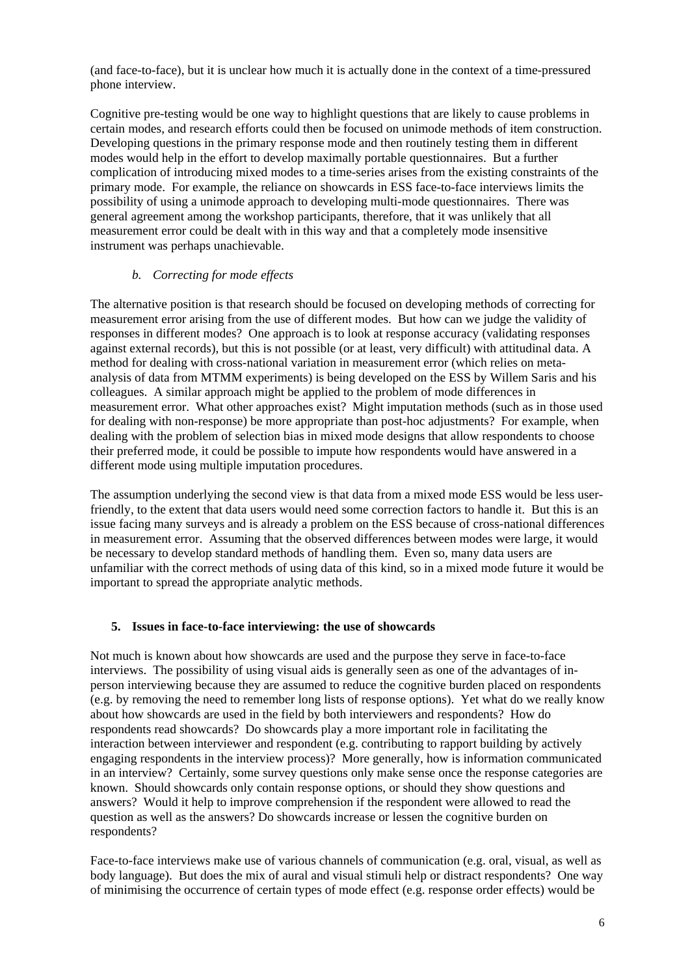(and face-to-face), but it is unclear how much it is actually done in the context of a time-pressured phone interview.

Cognitive pre-testing would be one way to highlight questions that are likely to cause problems in certain modes, and research efforts could then be focused on unimode methods of item construction. Developing questions in the primary response mode and then routinely testing them in different modes would help in the effort to develop maximally portable questionnaires. But a further complication of introducing mixed modes to a time-series arises from the existing constraints of the primary mode. For example, the reliance on showcards in ESS face-to-face interviews limits the possibility of using a unimode approach to developing multi-mode questionnaires. There was general agreement among the workshop participants, therefore, that it was unlikely that all measurement error could be dealt with in this way and that a completely mode insensitive instrument was perhaps unachievable.

### *b. Correcting for mode effects*

The alternative position is that research should be focused on developing methods of correcting for measurement error arising from the use of different modes. But how can we judge the validity of responses in different modes? One approach is to look at response accuracy (validating responses against external records), but this is not possible (or at least, very difficult) with attitudinal data. A method for dealing with cross-national variation in measurement error (which relies on metaanalysis of data from MTMM experiments) is being developed on the ESS by Willem Saris and his colleagues. A similar approach might be applied to the problem of mode differences in measurement error. What other approaches exist? Might imputation methods (such as in those used for dealing with non-response) be more appropriate than post-hoc adjustments? For example, when dealing with the problem of selection bias in mixed mode designs that allow respondents to choose their preferred mode, it could be possible to impute how respondents would have answered in a different mode using multiple imputation procedures.

The assumption underlying the second view is that data from a mixed mode ESS would be less userfriendly, to the extent that data users would need some correction factors to handle it. But this is an issue facing many surveys and is already a problem on the ESS because of cross-national differences in measurement error. Assuming that the observed differences between modes were large, it would be necessary to develop standard methods of handling them. Even so, many data users are unfamiliar with the correct methods of using data of this kind, so in a mixed mode future it would be important to spread the appropriate analytic methods.

# **5. Issues in face-to-face interviewing: the use of showcards**

Not much is known about how showcards are used and the purpose they serve in face-to-face interviews. The possibility of using visual aids is generally seen as one of the advantages of inperson interviewing because they are assumed to reduce the cognitive burden placed on respondents (e.g. by removing the need to remember long lists of response options). Yet what do we really know about how showcards are used in the field by both interviewers and respondents? How do respondents read showcards? Do showcards play a more important role in facilitating the interaction between interviewer and respondent (e.g. contributing to rapport building by actively engaging respondents in the interview process)? More generally, how is information communicated in an interview? Certainly, some survey questions only make sense once the response categories are known. Should showcards only contain response options, or should they show questions and answers? Would it help to improve comprehension if the respondent were allowed to read the question as well as the answers? Do showcards increase or lessen the cognitive burden on respondents?

Face-to-face interviews make use of various channels of communication (e.g. oral, visual, as well as body language). But does the mix of aural and visual stimuli help or distract respondents? One way of minimising the occurrence of certain types of mode effect (e.g. response order effects) would be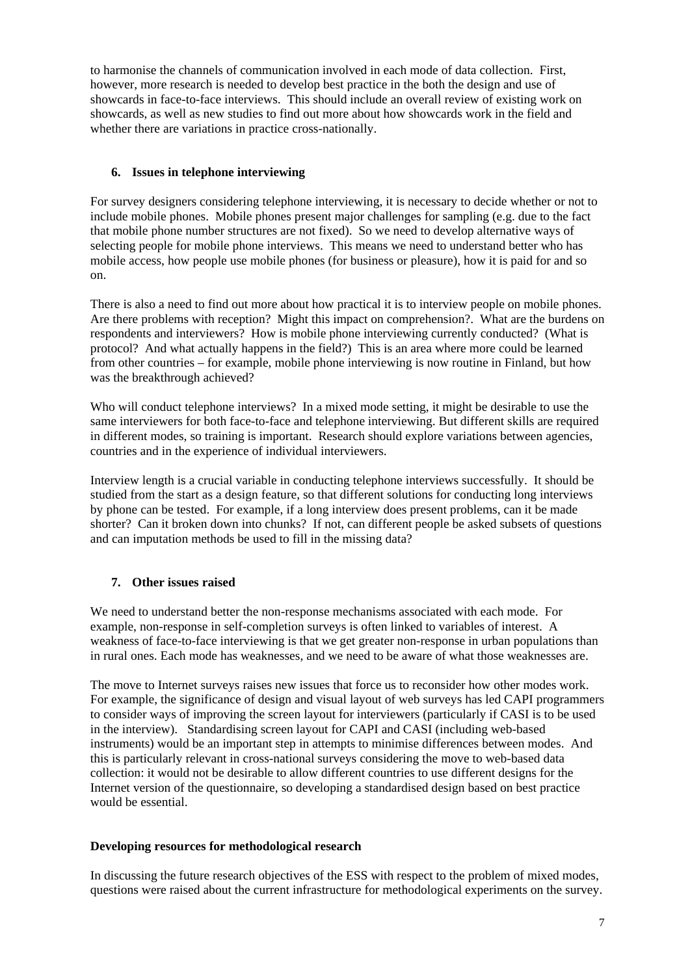to harmonise the channels of communication involved in each mode of data collection. First, however, more research is needed to develop best practice in the both the design and use of showcards in face-to-face interviews. This should include an overall review of existing work on showcards, as well as new studies to find out more about how showcards work in the field and whether there are variations in practice cross-nationally.

# **6. Issues in telephone interviewing**

For survey designers considering telephone interviewing, it is necessary to decide whether or not to include mobile phones. Mobile phones present major challenges for sampling (e.g. due to the fact that mobile phone number structures are not fixed). So we need to develop alternative ways of selecting people for mobile phone interviews. This means we need to understand better who has mobile access, how people use mobile phones (for business or pleasure), how it is paid for and so on.

There is also a need to find out more about how practical it is to interview people on mobile phones. Are there problems with reception? Might this impact on comprehension?. What are the burdens on respondents and interviewers? How is mobile phone interviewing currently conducted? (What is protocol? And what actually happens in the field?) This is an area where more could be learned from other countries – for example, mobile phone interviewing is now routine in Finland, but how was the breakthrough achieved?

Who will conduct telephone interviews? In a mixed mode setting, it might be desirable to use the same interviewers for both face-to-face and telephone interviewing. But different skills are required in different modes, so training is important. Research should explore variations between agencies, countries and in the experience of individual interviewers.

Interview length is a crucial variable in conducting telephone interviews successfully. It should be studied from the start as a design feature, so that different solutions for conducting long interviews by phone can be tested. For example, if a long interview does present problems, can it be made shorter? Can it broken down into chunks? If not, can different people be asked subsets of questions and can imputation methods be used to fill in the missing data?

# **7. Other issues raised**

We need to understand better the non-response mechanisms associated with each mode. For example, non-response in self-completion surveys is often linked to variables of interest. A weakness of face-to-face interviewing is that we get greater non-response in urban populations than in rural ones. Each mode has weaknesses, and we need to be aware of what those weaknesses are.

The move to Internet surveys raises new issues that force us to reconsider how other modes work. For example, the significance of design and visual layout of web surveys has led CAPI programmers to consider ways of improving the screen layout for interviewers (particularly if CASI is to be used in the interview). Standardising screen layout for CAPI and CASI (including web-based instruments) would be an important step in attempts to minimise differences between modes. And this is particularly relevant in cross-national surveys considering the move to web-based data collection: it would not be desirable to allow different countries to use different designs for the Internet version of the questionnaire, so developing a standardised design based on best practice would be essential.

# **Developing resources for methodological research**

In discussing the future research objectives of the ESS with respect to the problem of mixed modes, questions were raised about the current infrastructure for methodological experiments on the survey.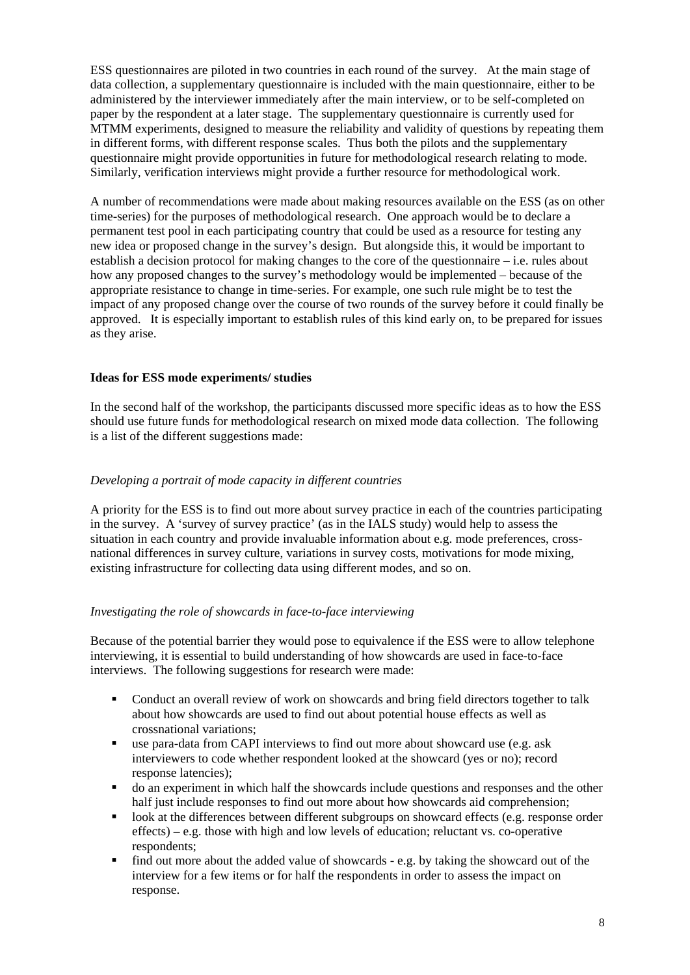ESS questionnaires are piloted in two countries in each round of the survey. At the main stage of data collection, a supplementary questionnaire is included with the main questionnaire, either to be administered by the interviewer immediately after the main interview, or to be self-completed on paper by the respondent at a later stage. The supplementary questionnaire is currently used for MTMM experiments, designed to measure the reliability and validity of questions by repeating them in different forms, with different response scales. Thus both the pilots and the supplementary questionnaire might provide opportunities in future for methodological research relating to mode. Similarly, verification interviews might provide a further resource for methodological work.

A number of recommendations were made about making resources available on the ESS (as on other time-series) for the purposes of methodological research. One approach would be to declare a permanent test pool in each participating country that could be used as a resource for testing any new idea or proposed change in the survey's design. But alongside this, it would be important to establish a decision protocol for making changes to the core of the questionnaire – i.e. rules about how any proposed changes to the survey's methodology would be implemented – because of the appropriate resistance to change in time-series. For example, one such rule might be to test the impact of any proposed change over the course of two rounds of the survey before it could finally be approved. It is especially important to establish rules of this kind early on, to be prepared for issues as they arise.

### **Ideas for ESS mode experiments/ studies**

In the second half of the workshop, the participants discussed more specific ideas as to how the ESS should use future funds for methodological research on mixed mode data collection. The following is a list of the different suggestions made:

### *Developing a portrait of mode capacity in different countries*

A priority for the ESS is to find out more about survey practice in each of the countries participating in the survey. A 'survey of survey practice' (as in the IALS study) would help to assess the situation in each country and provide invaluable information about e.g. mode preferences, crossnational differences in survey culture, variations in survey costs, motivations for mode mixing, existing infrastructure for collecting data using different modes, and so on.

#### *Investigating the role of showcards in face-to-face interviewing*

Because of the potential barrier they would pose to equivalence if the ESS were to allow telephone interviewing, it is essential to build understanding of how showcards are used in face-to-face interviews. The following suggestions for research were made:

- Conduct an overall review of work on showcards and bring field directors together to talk about how showcards are used to find out about potential house effects as well as crossnational variations;
- use para-data from CAPI interviews to find out more about showcard use (e.g. ask interviewers to code whether respondent looked at the showcard (yes or no); record response latencies);
- do an experiment in which half the showcards include questions and responses and the other half just include responses to find out more about how showcards aid comprehension;
- look at the differences between different subgroups on showcard effects (e.g. response order effects) – e.g. those with high and low levels of education; reluctant vs. co-operative respondents;
- $\blacksquare$  find out more about the added value of showcards e.g. by taking the showcard out of the interview for a few items or for half the respondents in order to assess the impact on response.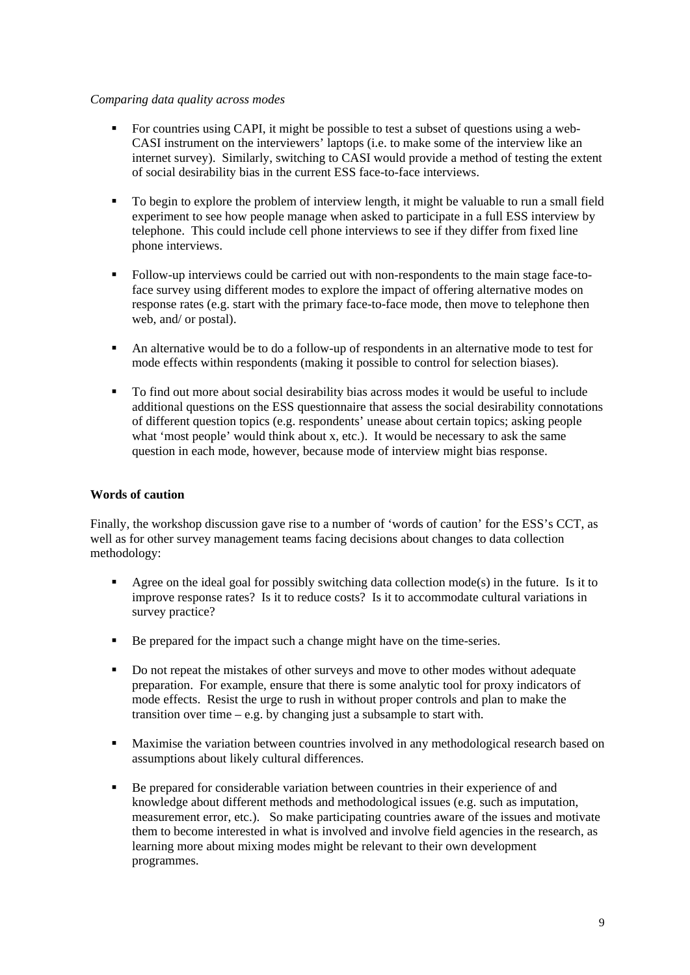#### *Comparing data quality across modes*

- For countries using CAPI, it might be possible to test a subset of questions using a web-CASI instrument on the interviewers' laptops (i.e. to make some of the interview like an internet survey). Similarly, switching to CASI would provide a method of testing the extent of social desirability bias in the current ESS face-to-face interviews.
- To begin to explore the problem of interview length, it might be valuable to run a small field experiment to see how people manage when asked to participate in a full ESS interview by telephone. This could include cell phone interviews to see if they differ from fixed line phone interviews.
- Follow-up interviews could be carried out with non-respondents to the main stage face-toface survey using different modes to explore the impact of offering alternative modes on response rates (e.g. start with the primary face-to-face mode, then move to telephone then web, and/ or postal).
- An alternative would be to do a follow-up of respondents in an alternative mode to test for mode effects within respondents (making it possible to control for selection biases).
- To find out more about social desirability bias across modes it would be useful to include additional questions on the ESS questionnaire that assess the social desirability connotations of different question topics (e.g. respondents' unease about certain topics; asking people what 'most people' would think about x, etc.). It would be necessary to ask the same question in each mode, however, because mode of interview might bias response.

### **Words of caution**

Finally, the workshop discussion gave rise to a number of 'words of caution' for the ESS's CCT, as well as for other survey management teams facing decisions about changes to data collection methodology:

- Agree on the ideal goal for possibly switching data collection  $mode(s)$  in the future. Is it to improve response rates? Is it to reduce costs? Is it to accommodate cultural variations in survey practice?
- Be prepared for the impact such a change might have on the time-series.
- Do not repeat the mistakes of other surveys and move to other modes without adequate preparation. For example, ensure that there is some analytic tool for proxy indicators of mode effects. Resist the urge to rush in without proper controls and plan to make the transition over time – e.g. by changing just a subsample to start with.
- Maximise the variation between countries involved in any methodological research based on assumptions about likely cultural differences.
- Be prepared for considerable variation between countries in their experience of and knowledge about different methods and methodological issues (e.g. such as imputation, measurement error, etc.). So make participating countries aware of the issues and motivate them to become interested in what is involved and involve field agencies in the research, as learning more about mixing modes might be relevant to their own development programmes.